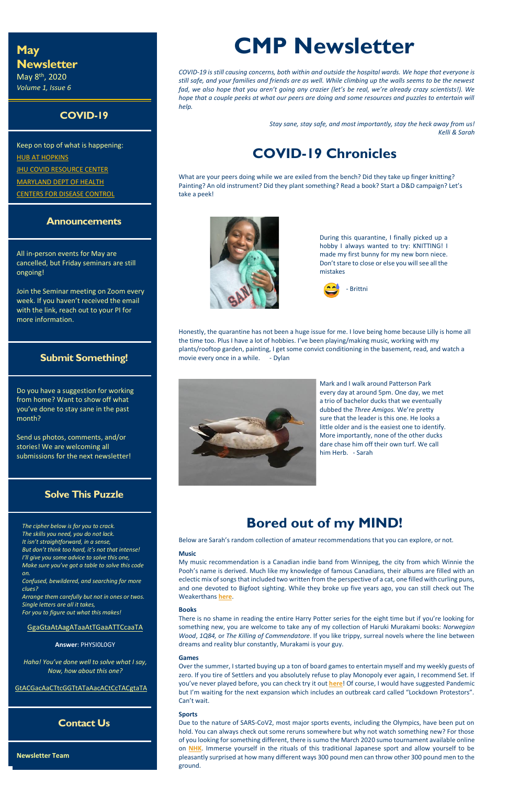# **May Newsletter**

May 8th, 2020 *Volume 1, Issue 6*

## **COVID-19**

Keep on top of what is happening: **[HUB AT HOPKINS](https://hub.jhu.edu/novel-coronavirus-information/) JHU COVID [RESOURCE CENTER](https://coronavirus.jhu.edu/)** [MARYLAND DEPT OF HEALTH](https://coronavirus.maryland.gov/) [CENTERS FOR DISEASE CONTROL](https://www.cdc.gov/coronavirus/2019-ncov/index.html)

### **Announcements**

All in-person events for May are cancelled, but Friday seminars are still ongoing!

Join the Seminar meeting on Zoom every week. If you haven't received the email with the link, reach out to your PI for more information.

### **Submit Something!**

Do you have a suggestion for working from home? Want to show off what you've done to stay sane in the past month?

Send us photos, comments, and/or stories! We are welcoming all submissions for the next newsletter!

### **Solve This Puzzle**

*The cipher below is for you to crack. The skills you need, you do not lack. It isn't straightforward, in a sense, But don't think too hard, it's not that intense! I'll give you some advice to solve this one, Make sure you've got a table to solve this code on.*

*Confused, bewildered, and searching for more clues?*

*Arrange them carefully but not in ones or twos. Single letters are all it takes, For you to figure out what this makes!*

Honestly, the quarantine has not been a huge issue for me. I love being home because Lilly is home all the time too. Plus I have a lot of hobbies. I've been playing/making music, working with my plants/rooftop garden, painting, I get some convict conditioning in the basement, read, and watch a movie every once in a while. - Dylan



GgaGtaAtAagATaaAtTGaaATTCcaaTA

**Answer**: PHYSI0L0GY

*Haha! You've done well to solve what I say, Now, how about this one?* 

GtACGacAaCTtcGGTtATaAacACtCcTACgtaTA

### **Contact Us**

**Newsletter Team**

# **CMP Newsletter**

*COVID-19 is still causing concerns, both within and outside the hospital wards. We hope that everyone is still safe, and your families and friends are as well. While climbing up the walls seems to be the newest fad, we also hope that you aren't going any crazier (let's be real, we're already crazy scientists!). We hope that a couple peeks at what our peers are doing and some resources and puzzles to entertain will help.*

> *Stay sane, stay safe, and most importantly, stay the heck away from us! Kelli & Sarah*

# **COVID-19 Chronicles**

What are your peers doing while we are exiled from the bench? Did they take up finger knitting? Painting? An old instrument? Did they plant something? Read a book? Start a D&D campaign? Let's take a peek!



During this quarantine, I finally picked up a hobby I always wanted to try: KNITTING! I made my first bunny for my new born niece. Don't stare to close or else you will see all the mistakes



Mark and I walk around Patterson Park every day at around 5pm. One day, we met a trio of bachelor ducks that we eventually dubbed the *Three Amigos.* We're pretty sure that the leader is this one. He looks a little older and is the easiest one to identify. More importantly, none of the other ducks dare chase him off their own turf. We call him Herb. - Sarah

# **Bored out of my MIND!**

Below are Sarah's random collection of amateur recommendations that you can explore, or not.

#### **Music**

My music recommendation is a Canadian indie band from Winnipeg, the city from which Winnie the Pooh's name is derived. Much like my knowledge of famous Canadians, their albums are filled with an

eclectic mix of songs that included two written from the perspective of a cat, one filled with curling puns, and one devoted to Bigfoot sighting. While they broke up five years ago, you can still check out The Weakerthans **[here](https://open.spotify.com/playlist/37i9dQZF1DZ06evO1539wv?si=MvLRshGCQPmzj8WIe4QZYw)**.

#### **Books**

There is no shame in reading the entire Harry Potter series for the eight time but if you're looking for something new, you are welcome to take any of my collection of Haruki Murakami books: *Norwegian Wood*, *1Q84,* or *The Killing of Commendatore*. If you like trippy, surreal novels where the line between dreams and reality blur constantly, Murakami is your guy.

#### **Games**

Over the summer, I started buying up a ton of board games to entertain myself and my weekly guests of zero. If you tire of Settlers and you absolutely refuse to play Monopoly ever again, I recommend Set. If you've never played before, you can check try it out **[here](https://www.setgame.com/set/puzzle)**! Of course, I would have suggested Pandemic but I'm waiting for the next expansion which includes an outbreak card called "Lockdown Protestors". Can't wait.

#### **Sports**

Due to the nature of SARS-CoV2, most major sports events, including the Olympics, have been put on hold. You can always check out some reruns somewhere but why not watch something new? For those of you looking for something different, there is sumo the March 2020 sumo tournament available online on **[NHK](https://www3.nhk.or.jp/nhkworld/en/tv/sumo/)**. Immerse yourself in the rituals of this traditional Japanese sport and allow yourself to be pleasantly surprised at how many different ways 300 pound men can throw other 300 pound men to the ground.